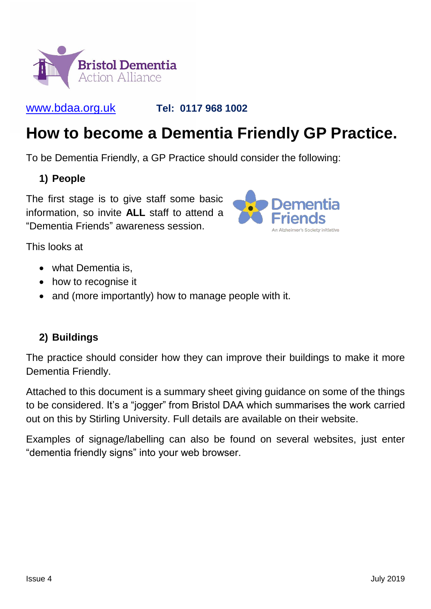

#### <www.bdaa.org.uk> **Tel: 0117 968 1002**

# **How to become a Dementia Friendly GP Practice.**

To be Dementia Friendly, a GP Practice should consider the following:

#### **1) People**

The first stage is to give staff some basic information, so invite **ALL** staff to attend a "Dementia Friends" awareness session.



This looks at

- what Dementia is.
- how to recognise it
- and (more importantly) how to manage people with it.

### **2) Buildings**

The practice should consider how they can improve their buildings to make it more Dementia Friendly.

Attached to this document is a summary sheet giving guidance on some of the things to be considered. It's a "jogger" from Bristol DAA which summarises the work carried out on this by Stirling University. Full details are available on their website.

Examples of signage/labelling can also be found on several websites, just enter "dementia friendly signs" into your web browser.